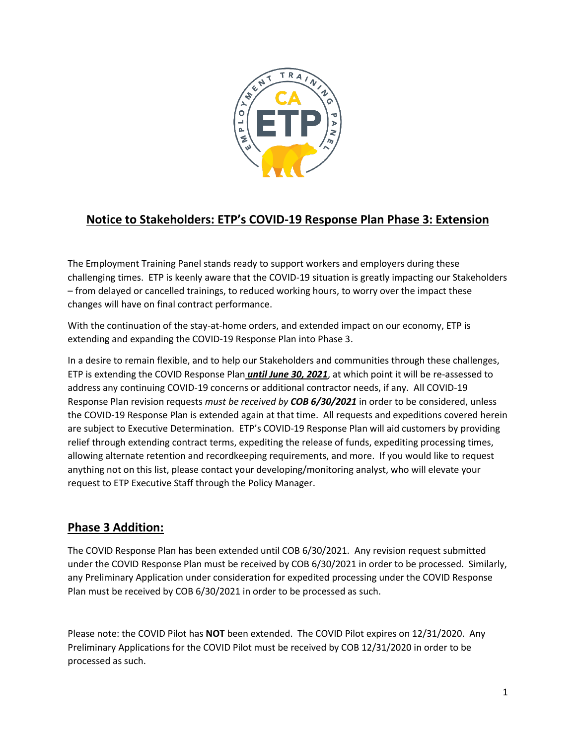

# **Notice to Stakeholders: ETP's COVID-19 Response Plan Phase 3: Extension**

The Employment Training Panel stands ready to support workers and employers during these challenging times. ETP is keenly aware that the COVID-19 situation is greatly impacting our Stakeholders – from delayed or cancelled trainings, to reduced working hours, to worry over the impact these changes will have on final contract performance.

With the continuation of the stay-at-home orders, and extended impact on our economy, ETP is extending and expanding the COVID-19 Response Plan into Phase 3.

 Response Plan revision requests *must be received by COB 6/30/2021* in order to be considered, unless the COVID-19 Response Plan is extended again at that time. All requests and expeditions covered herein In a desire to remain flexible, and to help our Stakeholders and communities through these challenges, ETP is extending the COVID Response Plan *until June 30, 2021*, at which point it will be re-assessed to address any continuing COVID-19 concerns or additional contractor needs, if any. All COVID-19 are subject to Executive Determination. ETP's COVID-19 Response Plan will aid customers by providing relief through extending contract terms, expediting the release of funds, expediting processing times, allowing alternate retention and recordkeeping requirements, and more. If you would like to request anything not on this list, please contact your developing/monitoring analyst, who will elevate your request to ETP Executive Staff through the Policy Manager.

## **Phase 3 Addition:**

The COVID Response Plan has been extended until COB 6/30/2021. Any revision request submitted under the COVID Response Plan must be received by COB 6/30/2021 in order to be processed. Similarly, any Preliminary Application under consideration for expedited processing under the COVID Response Plan must be received by COB 6/30/2021 in order to be processed as such.

 Please note: the COVID Pilot has **NOT** been extended. The COVID Pilot expires on 12/31/2020. Any Preliminary Applications for the COVID Pilot must be received by COB 12/31/2020 in order to be processed as such.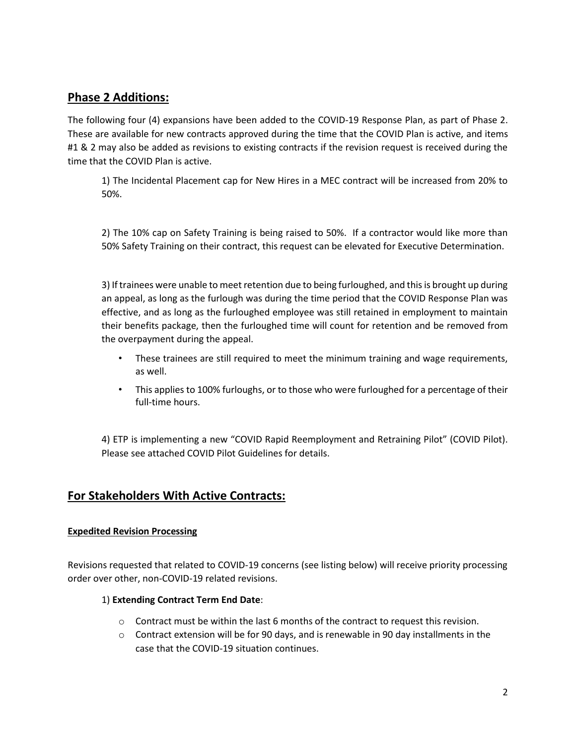## **Phase 2 Additions:**

 The following four (4) expansions have been added to the COVID-19 Response Plan, as part of Phase 2. These are available for new contracts approved during the time that the COVID Plan is active, and items #1 & 2 may also be added as revisions to existing contracts if the revision request is received during the time that the COVID Plan is active.

 1) The Incidental Placement cap for New Hires in a MEC contract will be increased from 20% to 50%.

 2) The 10% cap on Safety Training is being raised to 50%. If a contractor would like more than 50% Safety Training on their contract, this request can be elevated for Executive Determination.

 3) If trainees were unable to meet retention due to being furloughed, and this is brought up during an appeal, as long as the furlough was during the time period that the COVID Response Plan was effective, and as long as the furloughed employee was still retained in employment to maintain their benefits package, then the furloughed time will count for retention and be removed from the overpayment during the appeal.

- • These trainees are still required to meet the minimum training and wage requirements, as well.
- • This applies to 100% furloughs, or to those who were furloughed for a percentage of their full-time hours.

 4) ETP is implementing a new "COVID Rapid Reemployment and Retraining Pilot" (COVID Pilot). Please see attached COVID Pilot Guidelines for details.

## **For Stakeholders With Active Contracts:**

### **Expedited Revision Processing**

Revisions requested that related to COVID-19 concerns (see listing below) will receive priority processing order over other, non-COVID-19 related revisions.

### 1) **Extending Contract Term End Date**:

- $\circ$  Contract must be within the last 6 months of the contract to request this revision.
- $\circ$  Contract extension will be for 90 days, and is renewable in 90 day installments in the case that the COVID-19 situation continues.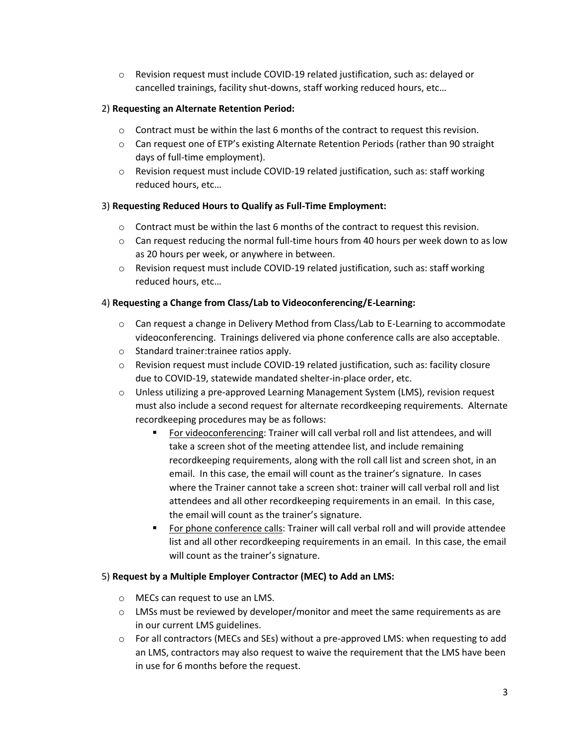o Revision request must include COVID-19 related justification, such as: delayed or cancelled trainings, facility shut-downs, staff working reduced hours, etc…

### 2) **Requesting an Alternate Retention Period:**

- $\circ$  Contract must be within the last 6 months of the contract to request this revision.
- o Can request one of ETP's existing Alternate Retention Periods (rather than 90 straight days of full-time employment).
- o Revision request must include COVID-19 related justification, such as: staff working reduced hours, etc…

#### 3) **Requesting Reduced Hours to Qualify as Full-Time Employment:**

- $\circ$  Contract must be within the last 6 months of the contract to request this revision.
- $\circ$  Can request reducing the normal full-time hours from 40 hours per week down to as low as 20 hours per week, or anywhere in between.
- o Revision request must include COVID-19 related justification, such as: staff working reduced hours, etc…

#### 4) **Requesting a Change from Class/Lab to Videoconferencing/E-Learning:**

- o Can request a change in Delivery Method from Class/Lab to E-Learning to accommodate videoconferencing. Trainings delivered via phone conference calls are also acceptable.
- o Standard trainer:trainee ratios apply.
- $\circ$  Revision request must include COVID-19 related justification, such as: facility closure due to COVID-19, statewide mandated shelter-in-place order, etc.
- o Unless utilizing a pre-approved Learning Management System (LMS), revision request must also include a second request for alternate recordkeeping requirements. Alternate recordkeeping procedures may be as follows:
	- recordkeeping requirements, along with the roll call list and screen shot, in an email. In this case, the email will count as the trainer's signature. In cases For videoconferencing: Trainer will call verbal roll and list attendees, and will take a screen shot of the meeting attendee list, and include remaining where the Trainer cannot take a screen shot: trainer will call verbal roll and list attendees and all other recordkeeping requirements in an email. In this case, the email will count as the trainer's signature.
	- For phone conference calls: Trainer will call verbal roll and will provide attendee list and all other recordkeeping requirements in an email. In this case, the email will count as the trainer's signature.

#### 5) **Request by a Multiple Employer Contractor (MEC) to Add an LMS:**

- o MECs can request to use an LMS.
- $\circ$  LMSs must be reviewed by developer/monitor and meet the same requirements as are in our current LMS guidelines.
- an LMS, contractors may also request to waive the requirement that the LMS have been o For all contractors (MECs and SEs) without a pre-approved LMS: when requesting to add in use for 6 months before the request.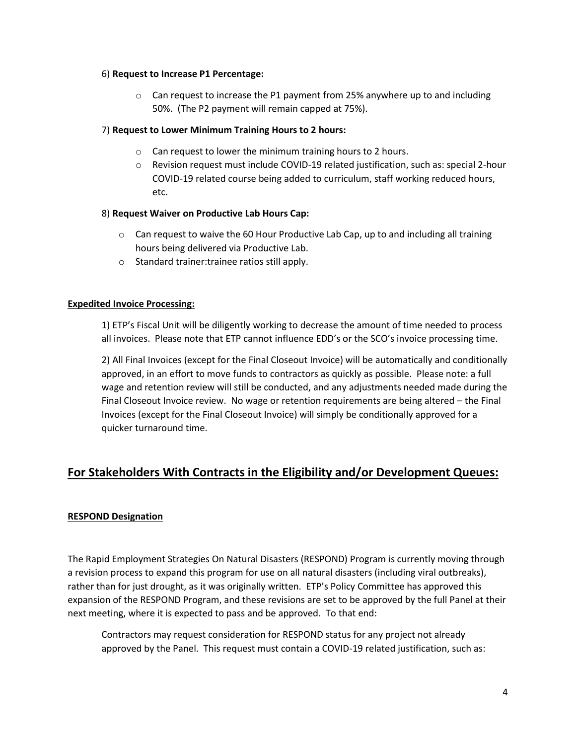#### 6) **Request to Increase P1 Percentage:**

o Can request to increase the P1 payment from 25% anywhere up to and including 50%. (The P2 payment will remain capped at 75%).

#### 7) **Request to Lower Minimum Training Hours to 2 hours:**

- $\circ$  Can request to lower the minimum training hours to 2 hours.
- o Revision request must include COVID-19 related justification, such as: special 2-hour COVID-19 related course being added to curriculum, staff working reduced hours, etc.

#### 8) **Request Waiver on Productive Lab Hours Cap:**

- $\circ$  Can request to waive the 60 Hour Productive Lab Cap, up to and including all training hours being delivered via Productive Lab.
- o Standard trainer:trainee ratios still apply.

#### **Expedited Invoice Processing:**

1) ETP's Fiscal Unit will be diligently working to decrease the amount of time needed to process all invoices. Please note that ETP cannot influence EDD's or the SCO's invoice processing time.

2) All Final Invoices (except for the Final Closeout Invoice) will be automatically and conditionally approved, in an effort to move funds to contractors as quickly as possible. Please note: a full wage and retention review will still be conducted, and any adjustments needed made during the Final Closeout Invoice review. No wage or retention requirements are being altered – the Final Invoices (except for the Final Closeout Invoice) will simply be conditionally approved for a quicker turnaround time.

## **For Stakeholders With Contracts in the Eligibility and/or Development Queues:**

### **RESPOND Designation**

 The Rapid Employment Strategies On Natural Disasters (RESPOND) Program is currently moving through next meeting, where it is expected to pass and be approved. To that end: a revision process to expand this program for use on all natural disasters (including viral outbreaks), rather than for just drought, as it was originally written. ETP's Policy Committee has approved this expansion of the RESPOND Program, and these revisions are set to be approved by the full Panel at their

Contractors may request consideration for RESPOND status for any project not already approved by the Panel. This request must contain a COVID-19 related justification, such as: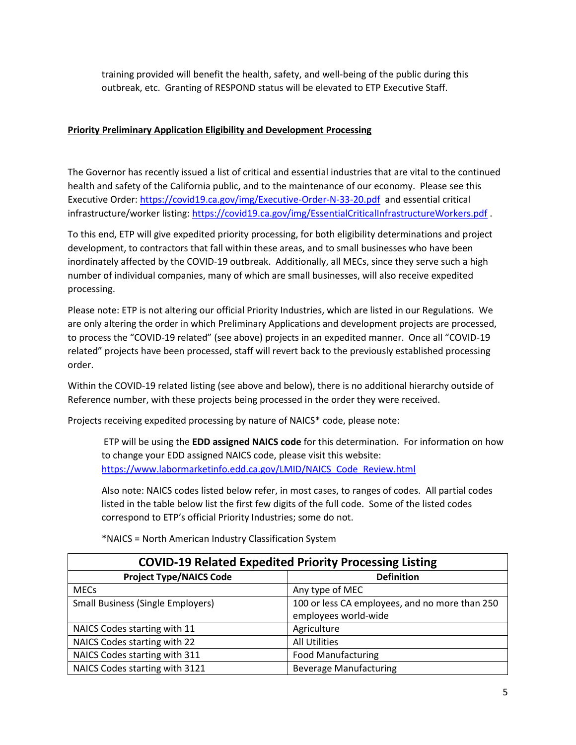training provided will benefit the health, safety, and well-being of the public during this outbreak, etc. Granting of RESPOND status will be elevated to ETP Executive Staff.

## **Priority Preliminary Application Eligibility and Development Processing**

Executive Order:<https://covid19.ca.gov/img/Executive-Order-N-33-20.pdf>and essential critical The Governor has recently issued a list of critical and essential industries that are vital to the continued health and safety of the California public, and to the maintenance of our economy. Please see this infrastructure/worker listing:<https://covid19.ca.gov/img/EssentialCriticalInfrastructureWorkers.pdf>.

 inordinately affected by the COVID-19 outbreak. Additionally, all MECs, since they serve such a high To this end, ETP will give expedited priority processing, for both eligibility determinations and project development, to contractors that fall within these areas, and to small businesses who have been number of individual companies, many of which are small businesses, will also receive expedited processing.

 to process the "COVID-19 related" (see above) projects in an expedited manner. Once all "COVID-19 Please note: ETP is not altering our official Priority Industries, which are listed in our Regulations. We are only altering the order in which Preliminary Applications and development projects are processed, related" projects have been processed, staff will revert back to the previously established processing order.

 Within the COVID-19 related listing (see above and below), there is no additional hierarchy outside of Reference number, with these projects being processed in the order they were received.

Projects receiving expedited processing by nature of NAICS\* code, please note:

ETP will be using the **EDD assigned NAICS code** for this determination. For information on how to change your EDD assigned NAICS code, please visit this website: [https://www.labormarketinfo.edd.ca.gov/LMID/NAICS\\_Code\\_Review.html](https://www.labormarketinfo.edd.ca.gov/LMID/NAICS_Code_Review.html) 

 listed in the table below list the first few digits of the full code. Some of the listed codes Also note: NAICS codes listed below refer, in most cases, to ranges of codes. All partial codes correspond to ETP's official Priority Industries; some do not.

| <b>COVID-19 Related Expedited Priority Processing Listing</b> |                                                |
|---------------------------------------------------------------|------------------------------------------------|
| <b>Project Type/NAICS Code</b>                                | <b>Definition</b>                              |
| <b>MECs</b>                                                   | Any type of MEC                                |
| <b>Small Business (Single Employers)</b>                      | 100 or less CA employees, and no more than 250 |
|                                                               | employees world-wide                           |
| NAICS Codes starting with 11                                  | Agriculture                                    |
| NAICS Codes starting with 22                                  | <b>All Utilities</b>                           |
| NAICS Codes starting with 311                                 | <b>Food Manufacturing</b>                      |
| NAICS Codes starting with 3121                                | <b>Beverage Manufacturing</b>                  |

\*NAICS = North American Industry Classification System